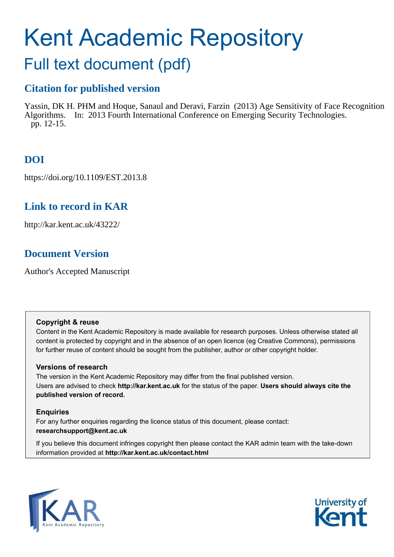# Kent Academic Repository

# Full text document (pdf)

## **Citation for published version**

Yassin, DK H. PHM and Hoque, Sanaul and Deravi, Farzin (2013) Age Sensitivity of Face Recognition Algorithms. In: 2013 Fourth International Conference on Emerging Security Technologies. pp. 12-15.

# **DOI**

https://doi.org/10.1109/EST.2013.8

### **Link to record in KAR**

http://kar.kent.ac.uk/43222/

### **Document Version**

Author's Accepted Manuscript

### **Copyright & reuse**

Content in the Kent Academic Repository is made available for research purposes. Unless otherwise stated all content is protected by copyright and in the absence of an open licence (eg Creative Commons), permissions for further reuse of content should be sought from the publisher, author or other copyright holder.

### **Versions of research**

The version in the Kent Academic Repository may differ from the final published version. Users are advised to check **http://kar.kent.ac.uk** for the status of the paper. **Users should always cite the published version of record.**

### **Enquiries**

For any further enquiries regarding the licence status of this document, please contact: **researchsupport@kent.ac.uk**

If you believe this document infringes copyright then please contact the KAR admin team with the take-down information provided at **http://kar.kent.ac.uk/contact.html**



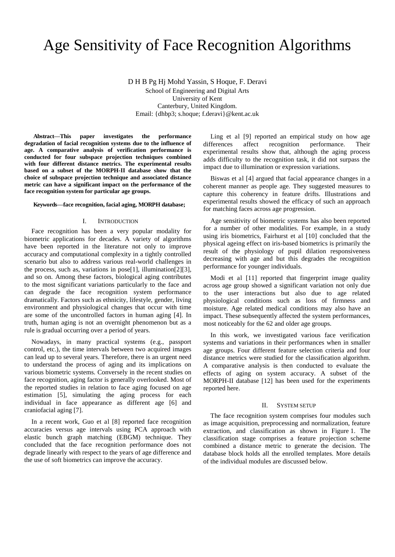# Age Sensitivity of Face Recognition Algorithms

D H B Pg Hj Mohd Yassin, S Hoque, F. Deravi School of Engineering and Digital Arts University of Kent Canterbury, United Kingdom. Email: {dhbp3; s.hoque; f.deravi}@kent.ac.uk

**Abstract—This paper investigates the performance degradation of facial recognition systems due to the influence of age. A comparative analysis of verification performance is conducted for four subspace projection techniques combined with four different distance metrics. The experimental results based on a subset of the MORPH-II database show that the choice of subspace projection technique and associated distance metric can have a significant impact on the performance of the face recognition system for particular age groups.** 

#### **Keywords***—***face recognition, facial aging, MORPH database;**

### I. INTRODUCTION

Face recognition has been a very popular modality for biometric applications for decades. A variety of algorithms have been reported in the literature not only to improve accuracy and computational complexity in a tightly controlled scenario but also to address various real-world challenges in the process, such as, variations in pose[1], illumination[2][3], and so on. Among these factors, biological aging contributes to the most significant variations particularly to the face and can degrade the face recognition system performance dramatically. Factors such as ethnicity, lifestyle, gender, living environment and physiological changes that occur with time are some of the uncontrolled factors in human aging [4]. In truth, human aging is not an overnight phenomenon but as a rule is gradual occurring over a period of years.

Nowadays, in many practical systems (e.g., passport control, etc.), the time intervals between two acquired images can lead up to several years. Therefore, there is an urgent need to understand the process of aging and its implications on various biometric systems. Conversely in the recent studies on face recognition, aging factor is generally overlooked. Most of the reported studies in relation to face aging focused on age estimation [5], simulating the aging process for each individual in face appearance as different age [6] and craniofacial aging [7].

In a recent work, Guo et al [8] reported face recognition accuracies versus age intervals using PCA approach with elastic bunch graph matching (EBGM) technique. They concluded that the face recognition performance does not degrade linearly with respect to the years of age difference and the use of soft biometrics can improve the accuracy.

Ling et al [9] reported an empirical study on how age differences affect recognition performance. Their experimental results show that, although the aging process adds difficulty to the recognition task, it did not surpass the impact due to illumination or expression variations.

Biswas et al [4] argued that facial appearance changes in a coherent manner as people age. They suggested measures to capture this coherency in feature drifts. Illustrations and experimental results showed the efficacy of such an approach for matching faces across age progression.

Age sensitivity of biometric systems has also been reported for a number of other modalities. For example, in a study using iris biometrics, Fairhurst et al [10] concluded that the physical ageing effect on iris-based biometrics is primarily the result of the physiology of pupil dilation responsiveness decreasing with age and but this degrades the recognition performance for younger individuals.

Modi et al [11] reported that fingerprint image quality across age group showed a significant variation not only due to the user interactions but also due to age related physiological conditions such as loss of firmness and moisture. Age related medical conditions may also have an impact. These subsequently affected the system performances, most noticeably for the 62 and older age groups.

In this work, we investigated various face verification systems and variations in their performances when in smaller age groups. Four different feature selection criteria and four distance metrics were studied for the classification algorithm. A comparative analysis is then conducted to evaluate the effects of aging on system accuracy. A subset of the MORPH-II database [12] has been used for the experiments reported here.

### II. SYSTEM SETUP

The face recognition system comprises four modules such as image acquisition, preprocessing and normalization, feature extraction, and classification as shown in Figure 1. The classification stage comprises a feature projection scheme combined a distance metric to generate the decision. The database block holds all the enrolled templates. More details of the individual modules are discussed below.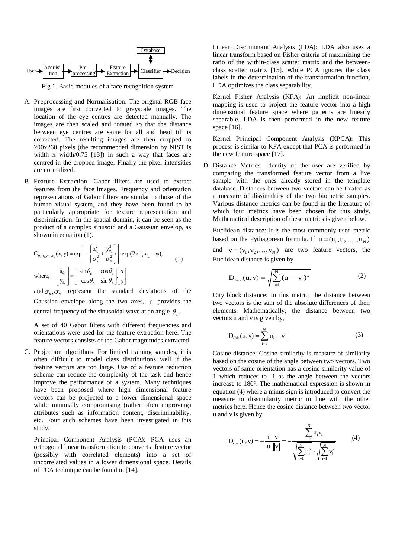

Fig 1. Basic modules of a face recognition system

- A. Preprocessing and Normalisation. The original RGB face images are first converted to grayscale images. The location of the eye centres are detected manually. The images are then scaled and rotated so that the distance between eye centres are same for all and head tilt is corrected. The resulting images are then cropped to 200x260 pixels (the recommended dimension by NIST is width x width/0.75 [13]) in such a way that faces are centred in the cropped image. Finally the pixel intensities are normalized.
- B. Feature Extraction. Gabor filters are used to extract features from the face images. Frequency and orientation representations of Gabor filters are similar to those of the human visual system, and they have been found to be particularly appropriate for texture representation and discrimination. In the spatial domain, it can be seen as the product of a complex sinusoid and a Gaussian envelop, as shown in equation (1).

$$
G_{\theta_n. f_i, \sigma_x, \sigma_y}(x, y) = \exp\left[-\left\{\frac{x_{\theta_n}^2}{\sigma_x^2} + \frac{y_{\theta_n}^2}{\sigma_y^2}\right\}\right] \cdot \exp(2\pi f_i x_{\theta_n} + \varphi),
$$
  
\nwhere, 
$$
\begin{bmatrix} x_{\theta_n} \\ y_{\theta_n} \end{bmatrix} = \begin{bmatrix} \sin \theta_n & \cos \theta_n \\ -\cos \theta_n & \sin \theta_n \end{bmatrix} \begin{bmatrix} x \\ y \end{bmatrix}
$$
 (1)

and  $\sigma_x$ ,  $\sigma_y$  represent the standard deviations of the Gaussian envelope along the two axes,  $f_i$  provides the central frequency of the sinusoidal wave at an angle  $\theta_n$ .

A set of 40 Gabor filters with different frequencies and orientations were used for the feature extraction here. The feature vectors consists of the Gabor magnitudes extracted.

C. Projection algorithms. For limited training samples, it is often difficult to model class distributions well if the feature vectors are too large. Use of a feature reduction scheme can reduce the complexity of the task and hence improve the performance of a system. Many techniques have been proposed where high dimensional feature vectors can be projected to a lower dimensional space while minimally compromising (rather often improving) attributes such as information content, discriminability, etc. Four such schemes have been investigated in this study.

Principal Component Analysis (PCA): PCA uses an orthogonal linear transformation to convert a feature vector (possibly with correlated elements) into a set of uncorrelated values in a lower dimensional space. Details of PCA technique can be found in [14].

Linear Discriminant Analysis (LDA): LDA also uses a linear transform based on Fisher criteria of maximizing the ratio of the within-class scatter matrix and the betweenclass scatter matrix [15]. While PCA ignores the class labels in the determination of the transformation function, LDA optimizes the class separability.

Kernel Fisher Analysis (KFA): An implicit non-linear mapping is used to project the feature vector into a high dimensional feature space where patterns are linearly separable. LDA is then performed in the new feature space [16].

Kernel Principal Component Analysis (KPCA): This process is similar to KFA except that PCA is performed in the new feature space [17].

D. Distance Metrics. Identity of the user are verified by comparing the transformed feature vector from a live sample with the ones already stored in the template database. Distances between two vectors can be treated as a measure of dissimalrity of the two biometric samples. Various distance metrics can be found in the literature of which four metrics have been chosen for this study. Mathematical description of these metrics is given below.

Euclidean distance: It is the most commonly used metric based on the Pythagorean formula. If  $u = (u_1, u_2, ..., u_N)$ and  $v = (v_1, v_2, \dots, v_N)$  are two feature vectors, the Euclidean distance is given by

$$
D_{\text{Euc}}(u, v) = \sqrt{\sum_{i=1}^{N} (u_i - v_i)^2}
$$
 (2)

City block distance: In this metric, the distance between two vectors is the sum of the absolute differences of their elements. Mathematically, the distance between two vectors u and v is given by,

$$
D_{\rm Ctb}(u, v) = \sum_{i=1}^{N} |u_i - v_i|
$$
 (3)

Cosine distance: Cosine similarity is measure of similarity based on the cosine of the angle between two vectors. Two vectors of same orientation has a cosine similarity value of 1 which reduces to -1 as the angle between the vectors increase to 180°. The mathematical expression is shown in equation (4) where a minus sign is introduced to convert the measure to dissimilarity metric in line with the other metrics here. Hence the cosine distance between two vector u and v is given by

$$
D_{\cos}(u, v) = -\frac{u \cdot v}{\|u\| \|v\|} = -\frac{\sum_{i=1}^{N} u_i v_i}{\sqrt{\sum_{i=1}^{N} u_i^2} \cdot \sqrt{\sum_{i=1}^{N} v_i^2}}
$$
(4)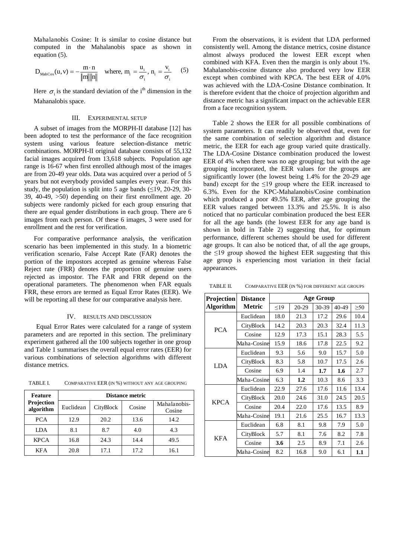Mahalanobis Cosine: It is similar to cosine distance but computed in the Mahalanobis space as shown in equation (5).

$$
D_{\text{MahCos}}(u, v) = -\frac{m \cdot n}{\|m\| \|n\|} \quad \text{where, } m_i = \frac{u_i}{\sigma_i}, n_i = \frac{v_i}{\sigma_i} \quad (5)
$$

Here  $\sigma_i$  is the standard deviation of the i<sup>th</sup> dimension in the Mahanalobis space.

### III. EXPERIMENTAL SETUP

A subset of images from the MORPH-II database [12] has been adopted to test the performance of the face recognition system using various feature selection-distance metric combinations. MORPH-II original database consists of 55,132 facial images acquired from 13,618 subjects. Population age range is 16-67 when first enrolled although most of the images are from 20-49 year olds. Data was acquired over a period of 5 years but not everybody provided samples every year. For this study, the population is split into 5 age bands  $(\leq 19, 20-29, 30-$ 39, 40-49, >50) depending on their first enrollment age. 20 subjects were randomly picked for each group ensuring that there are equal gender distributions in each group. There are 6 images from each person. Of these 6 images, 3 were used for enrollment and the rest for verification.

For comparative performance analysis, the verification scenario has been implemented in this study. In a biometric verification scenario, False Accept Rate (FAR) denotes the portion of the impostors accepted as genuine whereas False Reject rate (FRR) denotes the proportion of genuine users rejected as impostor. The FAR and FRR depend on the operational parameters. The phenomenon when FAR equals FRR, these errors are termed as Equal Error Rates (EER). We will be reporting all these for our comparative analysis here.

### IV. RESULTS AND DISCUSSION

Equal Error Rates were calculated for a range of system parameters and are reported in this section. The preliminary experiment gathered all the 100 subjects together in one group and Table 1 summarises the overall equal error rates (EER) for various combinations of selection algorithms with different distance metrics.

TABLE I. COMPARATIVE EER (IN %) WITHOUT ANY AGE GROUPING

| Feature<br>Projection<br>algorithm | Distance metric |           |        |                        |  |  |
|------------------------------------|-----------------|-----------|--------|------------------------|--|--|
|                                    | Euclidean       | CityBlock | Cosine | Mahalanobis-<br>Cosine |  |  |
| <b>PCA</b>                         | 12.9            | 20.2      | 13.6   | 14.2                   |  |  |
| LDA                                | 8.1             | 8.7       | 4.0    | 4.3                    |  |  |
| <b>KPCA</b>                        | 16.8            | 24.3      | 14.4   | 49.5                   |  |  |
| <b>KFA</b>                         | 20.8            | 17.1      | 17.2   | 16.1                   |  |  |

From the observations, it is evident that LDA performed consistently well. Among the distance metrics, cosine distance almost always produced the lowest EER except when combined with KFA. Even then the margin is only about 1%. Mahalanobis-cosine distance also produced very low EER except when combined with KPCA. The best EER of 4.0% was achieved with the LDA-Cosine Distance combination. It is therefore evident that the choice of projection algorithm and distance metric has a significant impact on the achievable EER from a face recognition system.

Table 2 shows the EER for all possible combinations of system parameters. It can readily be observed that, even for the same combination of selection algorithm and distance metric, the EER for each age group varied quite drastically. The LDA-Cosine Distance combination produced the lowest EER of 4% when there was no age grouping; but with the age grouping incorporated, the EER values for the groups are significantly lower (the lowest being 1.4% for the 20-29 age band) except for the  $\leq$ 19 group where the EER increased to 6.3%. Even for the KPC-Mahalanobis/Cosine combination which produced a poor 49.5% EER, after age grouping the EER values ranged between 13.3% and 25.5%. It is also noticed that no particular combination produced the best EER for all the age bands (the lowest EER for any age band is shown in bold in Table 2) suggesting that, for optimum performance, different schemes should be used for different age groups. It can also be noticed that, of all the age groups, the  $\leq$ 19 group showed the highest EER suggesting that this age group is experiencing most variation in their facial appearances.

| <b>Projection</b> | <b>Distance</b><br>Metric | <b>Age Group</b> |       |       |       |           |  |
|-------------------|---------------------------|------------------|-------|-------|-------|-----------|--|
| <b>Algorithm</b>  |                           | $\leq$ 19        | 20-29 | 30-39 | 40-49 | $\geq 50$ |  |
| <b>PCA</b>        | Euclidean                 | 18.0             | 21.3  | 17.2  | 29.6  | 10.4      |  |
|                   | CityBlock                 | 14.2             | 20.3  | 20.3  | 32.4  | 11.3      |  |
|                   | Cosine                    | 12.9             | 17.3  | 15.1  | 28.3  | 5.5       |  |
|                   | Maha-Cosine               | 15.9             | 18.6  | 17.8  | 22.5  | 9.2       |  |
| <b>LDA</b>        | Euclidean                 | 9.3              | 5.6   | 9.0   | 15.7  | 5.0       |  |
|                   | CityBlock                 | 8.3              | 5.8   | 10.7  | 17.5  | 2.6       |  |
|                   | Cosine                    | 6.9              | 1.4   | 1.7   | 1.6   | 2.7       |  |
|                   | Maha-Cosine               | 6.3              | 1.2   | 10.3  | 8.6   | 3.3       |  |
| <b>KPCA</b>       | Euclidean                 | 22.9             | 27.6  | 17.6  | 11.6  | 13.4      |  |
|                   | CityBlock                 | 20.0             | 24.6  | 31.0  | 24.5  | 20.5      |  |
|                   | Cosine                    | 20.4             | 22.0  | 17.6  | 13.5  | 8.9       |  |
|                   | Maha-Cosine               | 19.1             | 21.6  | 25.5  | 16.7  | 13.3      |  |
| <b>KFA</b>        | Euclidean                 | 6.8              | 8.1   | 9.8   | 7.9   | 5.0       |  |
|                   | CityBlock                 | 5.7              | 8.1   | 7.6   | 8.2   | 7.8       |  |
|                   | Cosine                    | 3.6              | 2.5   | 8.9   | 7.1   | 2.6       |  |
|                   | Maha-Cosine               | 8.2              | 16.8  | 9.0   | 6.1   | 1.1       |  |

TABLE II. COMPARATIVE EER (IN %) FOR DIFFERENT AGE GROUPS